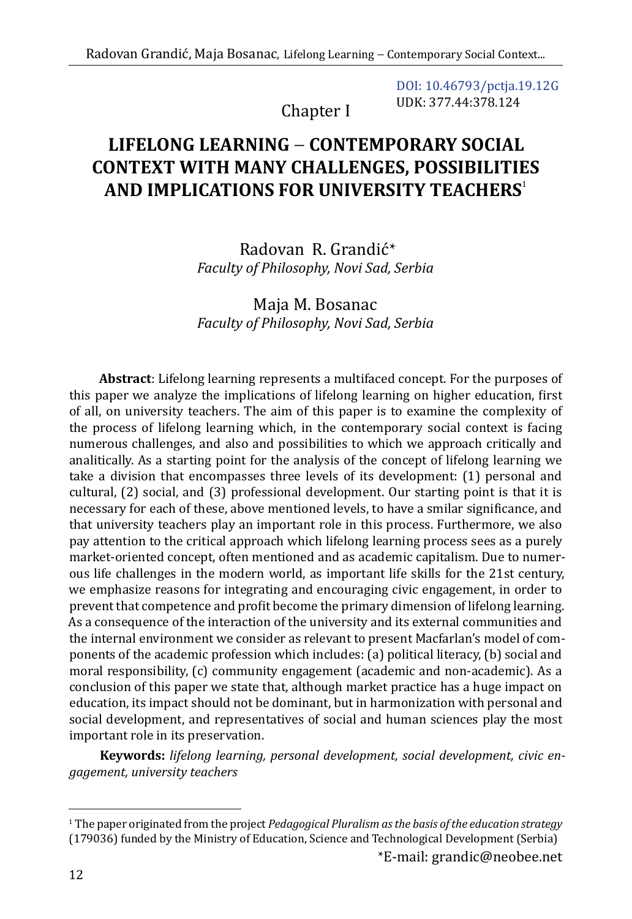Chapter I

DOI: [10.46793/pctja.19.12G](https://doi.org/10.46793/pctja.19.12G) UDK: 377.44:378.124

# **LIFELONG LEARNING** − **CONTEMPORARY SOCIAL CONTEXT WITH MANY CHALLENGES, POSSIBILITIES AND IMPLICATIONS FOR UNIVERSITY TEACHERS**<sup>1</sup>

Radovan R. Grandić\* *Faculty of Philosophy, Novi Sad, Serbia*

Maja M. Bosanac *Faculty of Philosophy, Novi Sad, Serbia*

**Abstract**: Lifelong learning represents a multifaced concept. For the purposes of this paper we analyze the implications of lifelong learning on higher education, first of all, on university teachers. The aim of this paper is to examine the complexity of the process of lifelong learning which, in the contemporary social context is facing numerous challenges, and also and possibilities to which we approach critically and analitically. As a starting point for the analysis of the concept of lifelong learning we take a division that encompasses three levels of its development: (1) personal and cultural, (2) social, and (3) professional development. Our starting point is that it is necessary for each of these, above mentioned levels, to have a smilar significance, and that university teachers play an important role in this process. Furthermore, we also pay attention to the critical approach which lifelong learning process sees as a purely market-oriented concept, often mentioned and as academic capitalism. Due to numerous life challenges in the modern world, as important life skills for the 21st century, we emphasize reasons for integrating and encouraging civic engagement, in order to prevent that competence and profit become the primary dimension of lifelong learning. As a consequence of the interaction of the university and its external communities and the internal environment we consider as relevant to present Macfarlan's model of components of the academic profession which includes: (a) political literacy, (b) social and moral responsibility, (c) community engagement (academic and non-academic). As a conclusion of this paper we state that, although market practice has a huge impact on education, its impact should not be dominant, but in harmonization with personal and social development, and representatives of social and human sciences play the most important role in its preservation.

**Keywords:** *lifelong learning, personal development, social development, civic engagement, university teachers*

\*E-mail: [grandic@neobee.net](mailto:grandic@neobee.net)

<sup>1</sup> The paper originated from the project *Pedagogical Pluralism as the basis of the education strategy* (179036) funded by the Ministry of Education, Science and Technological Development (Serbia)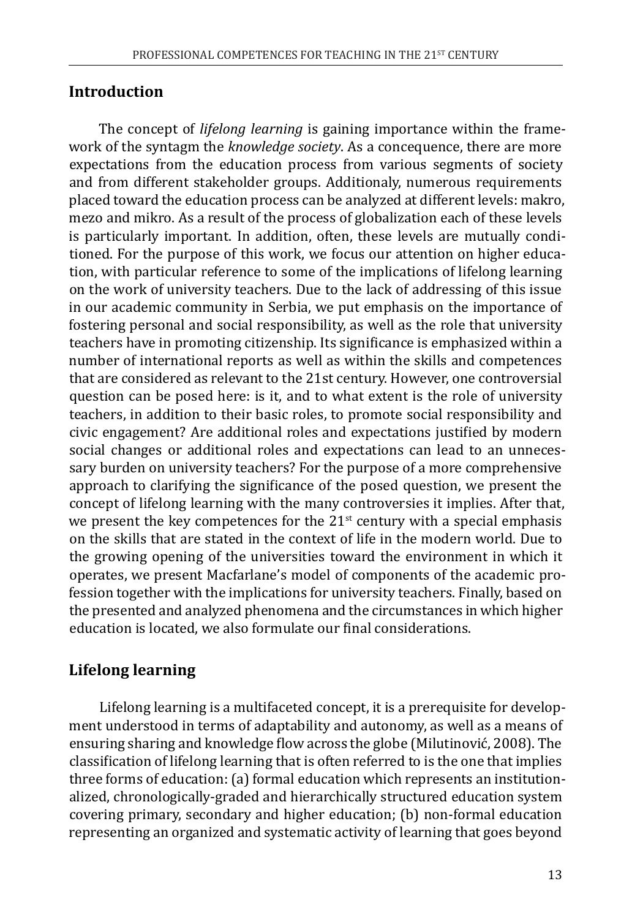#### **Introduction**

The concept of *lifelong learning* is gaining importance within the framework of the syntagm the *knowledge society*. As a concequence, there are more expectations from the education process from various segments of society and from different stakeholder groups. Additionaly, numerous requirements placed toward the education process can be analyzed at different levels: makro, mezo and mikro. As a result of the process of globalization each of these levels is particularly important. In addition, often, these levels are mutually conditioned. For the purpose of this work, we focus our attention on higher education, with particular reference to some of the implications of lifelong learning on the work of university teachers. Due to the lack of addressing of this issue in our academic community in Serbia, we put emphasis on the importance of fostering personal and social responsibility, as well as the role that university teachers have in promoting citizenship. Its significance is emphasized within a number of international reports as well as within the skills and competences that are considered as relevant to the 21st century. However, one controversial question can be posed here: is it, and to what extent is the role of university teachers, in addition to their basic roles, to promote social responsibility and civic engagement? Are additional roles and expectations justified by modern social changes or additional roles and expectations can lead to an unnecessary burden on university teachers? For the purpose of a more comprehensive approach to clarifying the significance of the posed question, we present the concept of lifelong learning with the many controversies it implies. After that, we present the key competences for the  $21<sup>st</sup>$  century with a special emphasis on the skills that are stated in the context of life in the modern world. Due to the growing opening of the universities toward the environment in which it operates, we present Macfarlane's model of components of the academic profession together with the implications for university teachers. Finally, based on the presented and analyzed phenomena and the circumstances in which higher education is located, we also formulate our final considerations.

## **Lifelong learning**

Lifelong learning is a multifaceted concept, it is a prerequisite for development understood in terms of adaptability and autonomy, as well as a means of ensuring sharing and knowledge flow across the globe (Milutinović, 2008). The classification of lifelong learning that is often referred to is the one that implies three forms of education: (a) formal education which represents an institutionalized, chronologically-graded and hierarchically structured education system covering primary, secondary and higher education; (b) non-formal education representing an organized and systematic activity of learning that goes beyond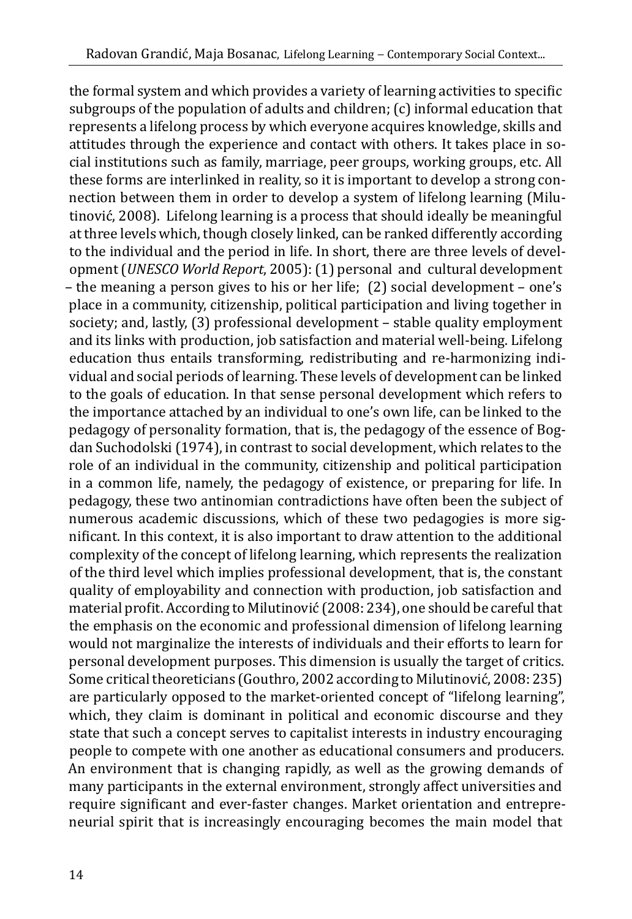the formal system and which provides a variety of learning activities to specific subgroups of the population of adults and children; (c) informal education that represents a lifelong process by which everyone acquires knowledge, skills and attitudes through the experience and contact with others. It takes place in social institutions such as family, marriage, peer groups, working groups, etc. All these forms are interlinked in reality, so it is important to develop a strong connection between them in order to develop a system of lifelong learning (Milutinović, 2008). Lifelong learning is a process that should ideally be meaningful at three levels which, though closely linked, can be ranked differently according to the individual and the period in life. In short, there are three levels of development (*UNESCO World Report*, 2005): (1) personal and cultural development – the meaning a person gives to his or her life; (2) social development – one's place in a community, citizenship, political participation and living together in society; and, lastly, (3) professional development – stable quality employment and its links with production, job satisfaction and material well-being. Lifelong education thus entails transforming, redistributing and re-harmonizing individual and social periods of learning. These levels of development can be linked to the goals of education. In that sense personal development which refers to the importance attached by an individual to one's own life, can be linked to the pedagogy of personality formation, that is, the pedagogy of the essence of Bogdan Suchodolski (1974), in contrast to social development, which relates to the role of an individual in the community, citizenship and political participation in a common life, namely, the pedagogy of existence, or preparing for life. In pedagogy, these two antinomian contradictions have often been the subject of numerous academic discussions, which of these two pedagogies is more significant. In this context, it is also important to draw attention to the additional complexity of the concept of lifelong learning, which represents the realization of the third level which implies professional development, that is, the constant quality of employability and connection with production, job satisfaction and material profit. According to Milutinović (2008: 234), one should be careful that the emphasis on the economic and professional dimension of lifelong learning would not marginalize the interests of individuals and their efforts to learn for personal development purposes. This dimension is usually the target of critics. Some critical theoreticians (Gouthro, 2002 according to Milutinović, 2008: 235) are particularly opposed to the market-oriented concept of "lifelong learning", which, they claim is dominant in political and economic discourse and they state that such a concept serves to capitalist interests in industry encouraging people to compete with one another as educational consumers and producers. An environment that is changing rapidly, as well as the growing demands of many participants in the external environment, strongly affect universities and require significant and ever-faster changes. Market orientation and entrepreneurial spirit that is increasingly encouraging becomes the main model that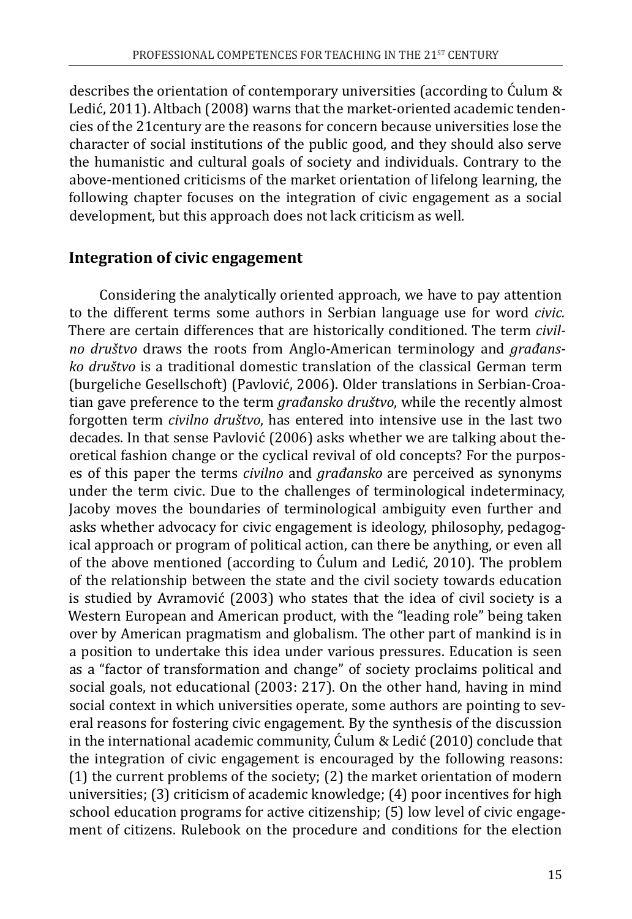describes the orientation of contemporary universities (according to Ćulum & Ledić, 2011). Altbach (2008) warns that the market-oriented academic tendencies of the 21century are the reasons for concern because universities lose the character of social institutions of the public good, and they should also serve the humanistic and cultural goals of society and individuals. Contrary to the above-mentioned criticisms of the market orientation of lifelong learning, the following chapter focuses on the integration of civic engagement as a social development, but this approach does not lack criticism as well.

#### **Integration of civic engagement**

Considering the analytically oriented approach, we have to pay attention to the different terms some authors in Serbian language use for word *civic.* There are certain differences that are historically conditioned. The term *civilno društvo* draws the roots from Anglo-American terminology and *građansko društvo* is a traditional domestic translation of the classical German term (burgeliche Gesellschoft) (Pavlović, 2006). Older translations in Serbian-Croatian gave preference to the term *građansko društvo*, while the recently almost forgotten term *civilno društvo*, has entered into intensive use in the last two decades. In that sense Pavlović (2006) asks whether we are talking about theoretical fashion change or the cyclical revival of old concepts? For the purposes of this paper the terms *civilno* and *građansko* are perceived as synonyms under the term civic. Due to the challenges of terminological indeterminacy, Jacoby moves the boundaries of terminological ambiguity even further and asks whether advocacy for civic engagement is ideology, philosophy, pedagogical approach or program of political action, can there be anything, or even all of the above mentioned (according to Ćulum and Ledić, 2010). The problem of the relationship between the state and the civil society towards education is studied by Avramović (2003) who states that the idea of civil society is a Western European and American product, with the "leading role" being taken over by American pragmatism and globalism. The other part of mankind is in a position to undertake this idea under various pressures. Education is seen as a "factor of transformation and change" of society proclaims political and social goals, not educational (2003: 217). On the other hand, having in mind social context in which universities operate, some authors are pointing to several reasons for fostering civic engagement. By the synthesis of the discussion in the international academic community, Ćulum & Ledić (2010) conclude that the integration of civic engagement is encouraged by the following reasons: (1) the current problems of the society; (2) the market orientation of modern universities; (3) criticism of academic knowledge; (4) poor incentives for high school education programs for active citizenship; (5) low level of civic engagement of citizens. Rulebook on the procedure and conditions for the election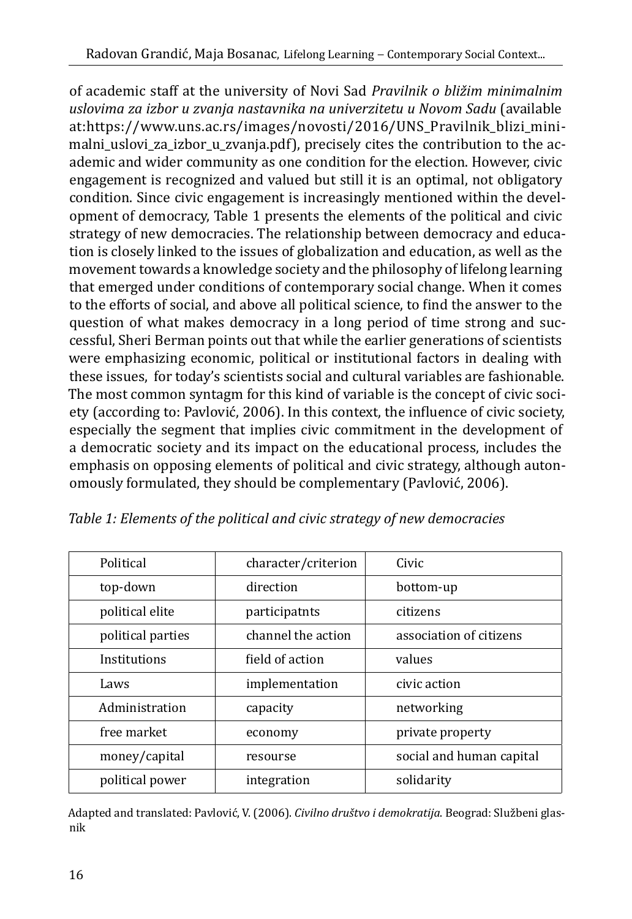of academic staff at the university of Novi Sad *Pravilnik o bližim minimalnim uslovima za izbor u zvanja nastavnika na univerzitetu u Novom Sadu* (available at:https://www.uns.ac.rs/images/novosti/2016/UNS\_Pravilnik\_blizi\_minimalni\_uslovi\_za\_izbor\_u\_zvanja.pdf), precisely cites the contribution to the academic and wider community as one condition for the election. However, civic engagement is recognized and valued but still it is an optimal, not obligatory condition. Since civic engagement is increasingly mentioned within the development of democracy, Table 1 presents the elements of the political and civic strategy of new democracies. The relationship between democracy and education is closely linked to the issues of globalization and education, as well as the movement towards a knowledge society and the philosophy of lifelong learning that emerged under conditions of contemporary social change. When it comes to the efforts of social, and above all political science, to find the answer to the question of what makes democracy in a long period of time strong and successful, Sheri Berman points out that while the earlier generations of scientists were emphasizing economic, political or institutional factors in dealing with these issues, for today's scientists social and cultural variables are fashionable. The most common syntagm for this kind of variable is the concept of civic society (according to: Pavlović, 2006). In this context, the influence of civic society, especially the segment that implies civic commitment in the development of a democratic society and its impact on the educational process, includes the emphasis on opposing elements of political and civic strategy, although autonomously formulated, they should be complementary (Pavlović, 2006).

| Political         | character/criterion | Civic                    |  |
|-------------------|---------------------|--------------------------|--|
| top-down          | direction           | bottom-up                |  |
| political elite   | participatnts       | citizens                 |  |
| political parties | channel the action  | association of citizens  |  |
| Institutions      | field of action     | values                   |  |
| Laws              | implementation      | civic action             |  |
| Administration    | capacity            | networking               |  |
| free market       | economy             | private property         |  |
| money/capital     | resourse            | social and human capital |  |
| political power   | integration         | solidarity               |  |

*Table 1: Elements of the political and civic strategy of new democracies*

Adapted and translated: Pavlović, V. (2006). *Civilno društvo i demokratija*. Beograd: Službeni glasnik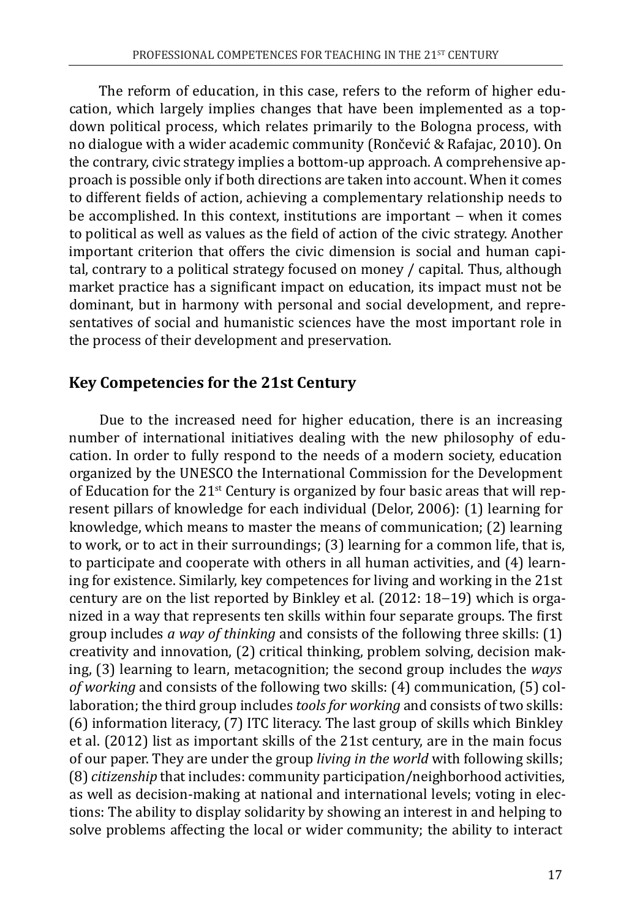The reform of education, in this case, refers to the reform of higher education, which largely implies changes that have been implemented as a topdown political process, which relates primarily to the Bologna process, with no dialogue with a wider academic community (Rončević & Rafajac, 2010). On the contrary, civic strategy implies a bottom-up approach. A comprehensive approach is possible only if both directions are taken into account. When it comes to different fields of action, achieving a complementary relationship needs to be accomplished. In this context, institutions are important − when it comes to political as well as values as the field of action of the civic strategy. Another important criterion that offers the civic dimension is social and human capital, contrary to a political strategy focused on money / capital. Thus, although market practice has a significant impact on education, its impact must not be dominant, but in harmony with personal and social development, and representatives of social and humanistic sciences have the most important role in the process of their development and preservation.

#### **Key Competencies for the 21st Century**

Due to the increased need for higher education, there is an increasing number of international initiatives dealing with the new philosophy of education. In order to fully respond to the needs of a modern society, education organized by the UNESCO the International Commission for the Development of Education for the  $21^{st}$  Century is organized by four basic areas that will represent pillars of knowledge for each individual (Delor, 2006): (1) learning for knowledge, which means to master the means of communication; (2) learning to work, or to act in their surroundings; (3) learning for a common life, that is, to participate and cooperate with others in all human activities, and (4) learning for existence. Similarly, key competences for living and working in the 21st century are on the list reported by Binkley et al. (2012: 18−19) which is organized in a way that represents ten skills within four separate groups. The first group includes *a way of thinking* and consists of the following three skills: (1) creativity and innovation, (2) critical thinking, problem solving, decision making, (3) learning to learn, metacognition; the second group includes the *ways of working* and consists of the following two skills: (4) communication, (5) collaboration; the third group includes *tools for working* and consists of two skills: (6) information literacy, (7) ITC literacy. The last group of skills which Binkley et al. (2012) list as important skills of the 21st century, are in the main focus of our paper. They are under the group *living in the world* with following skills; (8) *citizenship* that includes: community participation/neighborhood activities, as well as decision-making at national and international levels; voting in elections: The ability to display solidarity by showing an interest in and helping to solve problems affecting the local or wider community; the ability to interact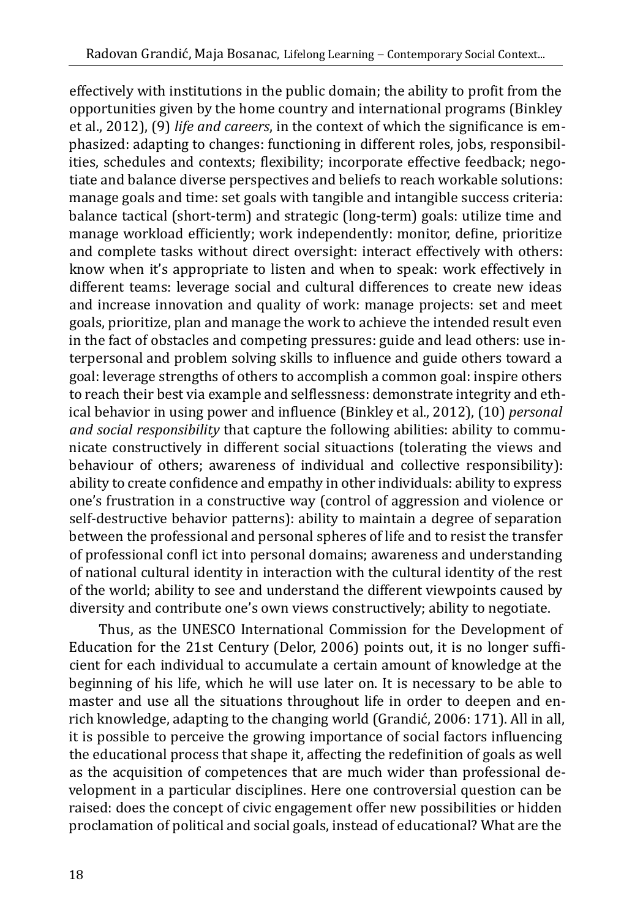effectively with institutions in the public domain; the ability to profit from the opportunities given by the home country and international programs (Binkley et al., 2012), (9) *life and careers*, in the context of which the significance is emphasized: adapting to changes: functioning in different roles, jobs, responsibilities, schedules and contexts; flexibility; incorporate effective feedback; negotiate and balance diverse perspectives and beliefs to reach workable solutions: manage goals and time: set goals with tangible and intangible success criteria: balance tactical (short-term) and strategic (long-term) goals: utilize time and manage workload efficiently; work independently: monitor, define, prioritize and complete tasks without direct oversight: interact effectively with others: know when it's appropriate to listen and when to speak: work effectively in different teams: leverage social and cultural differences to create new ideas and increase innovation and quality of work: manage projects: set and meet goals, prioritize, plan and manage the work to achieve the intended result even in the fact of obstacles and competing pressures: guide and lead others: use interpersonal and problem solving skills to influence and guide others toward a goal: leverage strengths of others to accomplish a common goal: inspire others to reach their best via example and selflessness: demonstrate integrity and ethical behavior in using power and influence (Binkley et al., 2012), (10) *personal and social responsibility* that capture the following abilities: ability to communicate constructively in different social situactions (tolerating the views and behaviour of others; awareness of individual and collective responsibility): ability to create confidence and empathy in other individuals: ability to express one's frustration in a constructive way (control of aggression and violence or self-destructive behavior patterns): ability to maintain a degree of separation between the professional and personal spheres of life and to resist the transfer of professional confl ict into personal domains; awareness and understanding of national cultural identity in interaction with the cultural identity of the rest of the world; ability to see and understand the different viewpoints caused by diversity and contribute one's own views constructively; ability to negotiate.

Thus, as the UNESCO International Commission for the Development of Education for the 21st Century (Delor, 2006) points out, it is no longer sufficient for each individual to accumulate a certain amount of knowledge at the beginning of his life, which he will use later on. It is necessary to be able to master and use all the situations throughout life in order to deepen and enrich knowledge, adapting to the changing world (Grandić, 2006: 171). All in all, it is possible to perceive the growing importance of social factors influencing the educational process that shape it, affecting the redefinition of goals as well as the acquisition of competences that are much wider than professional development in a particular disciplines. Here one controversial question can be raised: does the concept of civic engagement offer new possibilities or hidden proclamation of political and social goals, instead of educational? What are the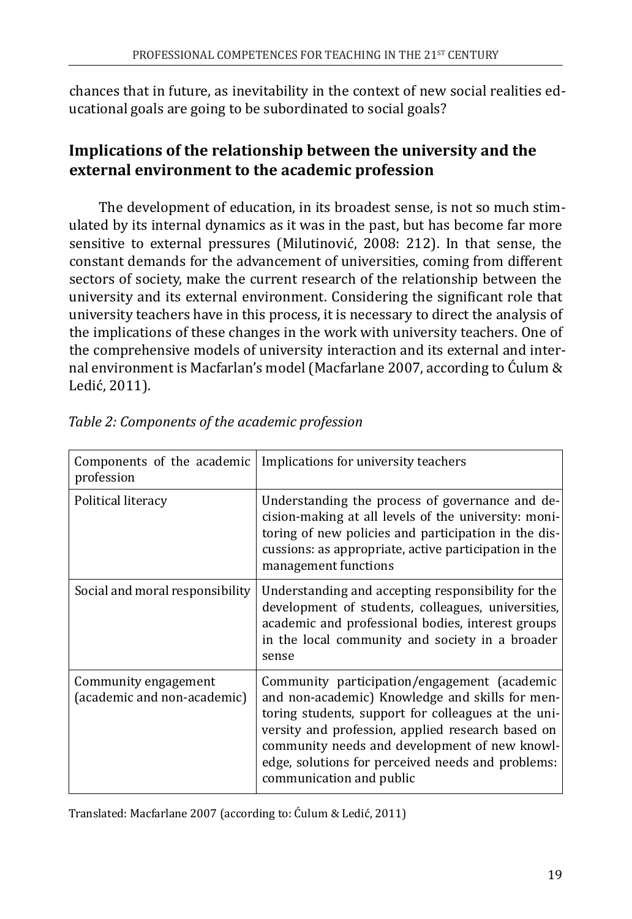chances that in future, as inevitability in the context of new social realities educational goals are going to be subordinated to social goals?

# **Implications of the relationship between the university and the external environment to the academic profession**

The development of education, in its broadest sense, is not so much stimulated by its internal dynamics as it was in the past, but has become far more sensitive to external pressures (Milutinović, 2008: 212). In that sense, the constant demands for the advancement of universities, coming from different sectors of society, make the current research of the relationship between the university and its external environment. Considering the significant role that university teachers have in this process, it is necessary to direct the analysis of the implications of these changes in the work with university teachers. One of the comprehensive models of university interaction and its external and internal environment is Macfarlan's model (Macfarlane 2007, according to Ćulum & Ledić, 2011).

| Components of the academic<br>profession            | Implications for university teachers                                                                                                                                                                                                                                                                                                          |
|-----------------------------------------------------|-----------------------------------------------------------------------------------------------------------------------------------------------------------------------------------------------------------------------------------------------------------------------------------------------------------------------------------------------|
| Political literacy                                  | Understanding the process of governance and de-<br>cision-making at all levels of the university: moni-<br>toring of new policies and participation in the dis-<br>cussions: as appropriate, active participation in the<br>management functions                                                                                              |
| Social and moral responsibility                     | Understanding and accepting responsibility for the<br>development of students, colleagues, universities,<br>academic and professional bodies, interest groups<br>in the local community and society in a broader<br>sense                                                                                                                     |
| Community engagement<br>(academic and non-academic) | Community participation/engagement (academic<br>and non-academic) Knowledge and skills for men-<br>toring students, support for colleagues at the uni-<br>versity and profession, applied research based on<br>community needs and development of new knowl-<br>edge, solutions for perceived needs and problems:<br>communication and public |

| Table 2: Components of the academic profession |  |  |
|------------------------------------------------|--|--|
|                                                |  |  |

Translated: Macfarlane 2007 (according to: Ćulum & Ledić, 2011)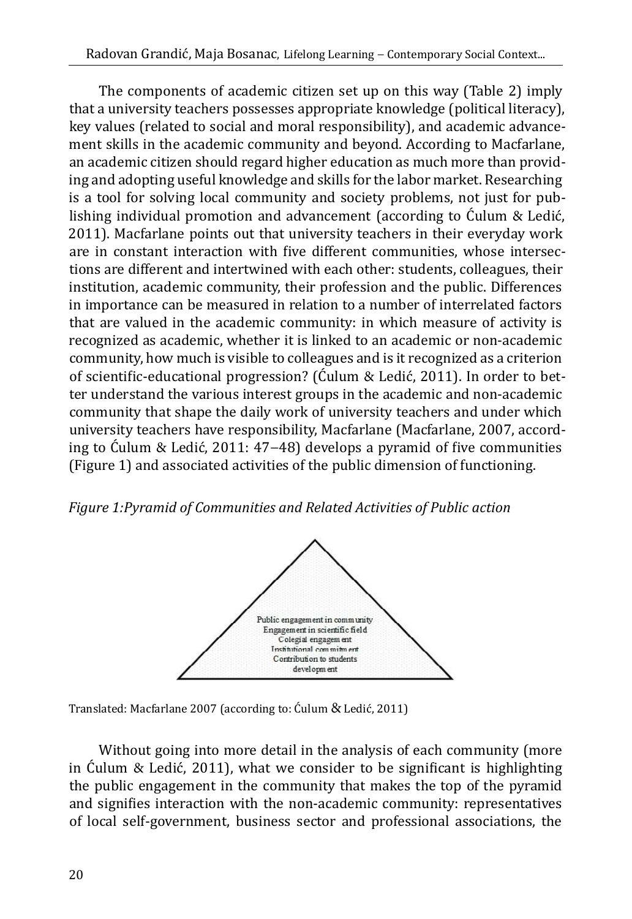The components of academic citizen set up on this way (Table 2) imply that a university teachers possesses appropriate knowledge (political literacy), key values (related to social and moral responsibility), and academic advancement skills in the academic community and beyond. According to Macfarlane, an academic citizen should regard higher education as much more than providing and adopting useful knowledge and skills for the labor market. Researching is a tool for solving local community and society problems, not just for publishing individual promotion and advancement (according to Ćulum & Ledić, 2011). Macfarlane points out that university teachers in their everyday work are in constant interaction with five different communities, whose intersections are different and intertwined with each other: students, colleagues, their institution, academic community, their profession and the public. Differences in importance can be measured in relation to a number of interrelated factors that are valued in the academic community: in which measure of activity is recognized as academic, whether it is linked to an academic or non-academic community, how much is visible to colleagues and is it recognized as a criterion of scientific-educational progression? (Ćulum & Ledić, 2011). In order to better understand the various interest groups in the academic and non-academic community that shape the daily work of university teachers and under which university teachers have responsibility, Macfarlane (Macfarlane, 2007, according to Ćulum & Ledić, 2011: 47−48) develops a pyramid of five communities (Figure 1) and associated activities of the public dimension of functioning.

*Figure 1:Pyramid of Communities and Related Activities of Public action*



Translated: Macfarlane 2007 (according to: Ćulum & Ledić, 2011)

Without going into more detail in the analysis of each community (more in Ćulum & Ledić, 2011), what we consider to be significant is highlighting the public engagement in the community that makes the top of the pyramid and signifies interaction with the non-academic community: representatives of local self-government, business sector and professional associations, the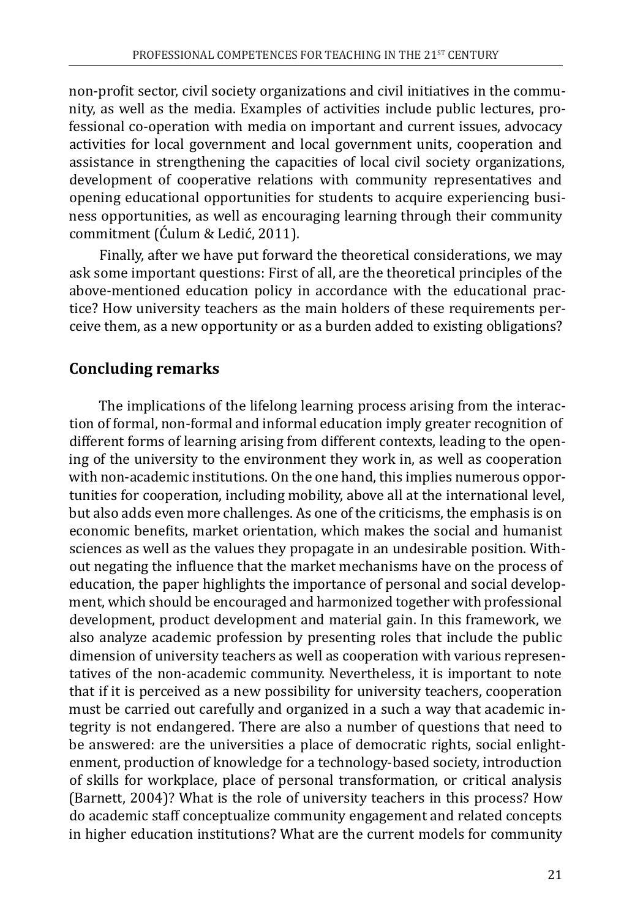non-profit sector, civil society organizations and civil initiatives in the community, as well as the media. Examples of activities include public lectures, professional co-operation with media on important and current issues, advocacy activities for local government and local government units, cooperation and assistance in strengthening the capacities of local civil society organizations, development of cooperative relations with community representatives and opening educational opportunities for students to acquire experiencing business opportunities, as well as encouraging learning through their community commitment (Ćulum & Ledić, 2011).

Finally, after we have put forward the theoretical considerations, we may ask some important questions: First of all, are the theoretical principles of the above-mentioned education policy in accordance with the educational practice? How university teachers as the main holders of these requirements perceive them, as a new opportunity or as a burden added to existing obligations?

## **Concluding remarks**

The implications of the lifelong learning process arising from the interaction of formal, non-formal and informal education imply greater recognition of different forms of learning arising from different contexts, leading to the opening of the university to the environment they work in, as well as cooperation with non-academic institutions. On the one hand, this implies numerous opportunities for cooperation, including mobility, above all at the international level, but also adds even more challenges. As one of the criticisms, the emphasis is on economic benefits, market orientation, which makes the social and humanist sciences as well as the values they propagate in an undesirable position. Without negating the influence that the market mechanisms have on the process of education, the paper highlights the importance of personal and social development, which should be encouraged and harmonized together with professional development, product development and material gain. In this framework, we also analyze academic profession by presenting roles that include the public dimension of university teachers as well as cooperation with various representatives of the non-academic community. Nevertheless, it is important to note that if it is perceived as a new possibility for university teachers, cooperation must be carried out carefully and organized in a such a way that academic integrity is not endangered. There are also a number of questions that need to be answered: are the universities a place of democratic rights, social enlightenment, production of knowledge for a technology-based society, introduction of skills for workplace, place of personal transformation, or critical analysis (Barnett, 2004)? What is the role of university teachers in this process? How do academic staff conceptualize community engagement and related concepts in higher education institutions? What are the current models for community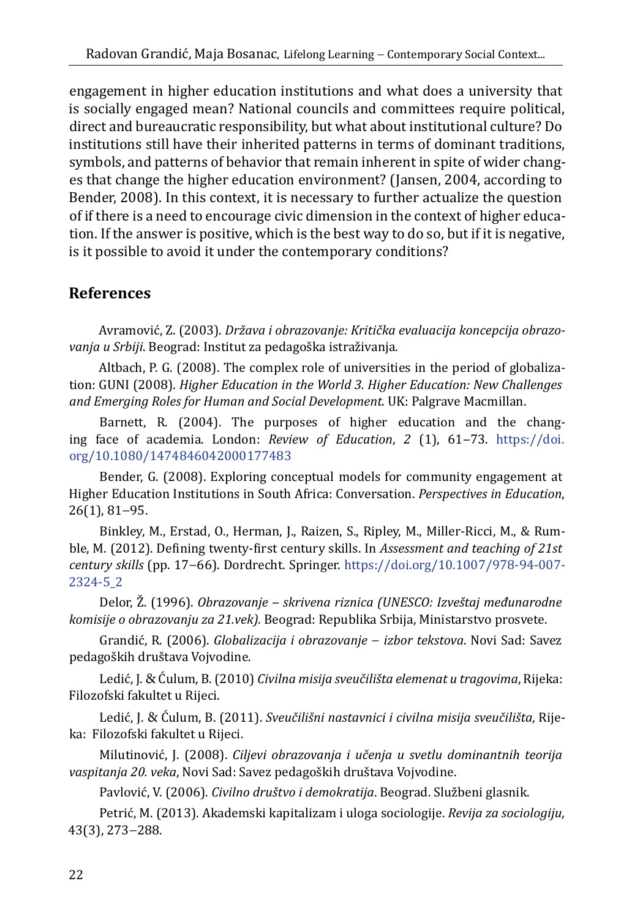engagement in higher education institutions and what does a university that is socially engaged mean? National councils and committees require political, direct and bureaucratic responsibility, but what about institutional culture? Do institutions still have their inherited patterns in terms of dominant traditions, symbols, and patterns of behavior that remain inherent in spite of wider changes that change the higher education environment? (Jansen, 2004, according to Bender, 2008). In this context, it is necessary to further actualize the question of if there is a need to encourage civic dimension in the context of higher education. If the answer is positive, which is the best way to do so, but if it is negative, is it possible to avoid it under the contemporary conditions?

## **References**

Avramović, Z. (2003). *Država i obrazovanje: Kritička evaluacija koncepcija obrazovanja u Srbiji*. Beograd: Institut za pedagoška istraživanja.

Altbach, P. G. (2008). The complex role of universities in the period of globalization: GUNI (2008). *Higher Education in the World 3. Higher Education: New Challenges and Emerging Roles for Human and Social Development*. UK: Palgrave Macmillan.

Barnett, R. (2004). The purposes of higher education and the changing face of academia. London: *Review of Education*, *2* (1), 61‒73. [https://doi.](https://doi.org/10.1080/1474846042000177483) [org/10.1080/1474846042000177483](https://doi.org/10.1080/1474846042000177483)

Bender, G. (2008). Exploring conceptual models for community engagement at Higher Education Institutions in South Africa: Conversation. *Perspectives in Education*, 26(1), 81−95.

Binkley, M., Erstad, O., Herman, J., Raizen, S., Ripley, M., Miller-Ricci, M., & Rumble, M. (2012). Defining twenty-first century skills. In *Assessment and teaching of 21st century skills* (pp. 17−66). Dordrecht. Springer. [https://doi.org/10.1007/978-94-007-](https://doi.org/10.1007/978-94-007-2324-5_2%20) [2324-5\\_2](https://doi.org/10.1007/978-94-007-2324-5_2%20)

Delor, Ž. (1996). *Obrazovanje ‒ skrivena riznica (UNESCO: Izveštaj međunarodne komisije o obrazovanju za 21.vek).* Beograd: Republika Srbija, Ministarstvo prosvete.

Grandić, R. (2006). *Globalizacija i obrazovanje* − *izbor tekstova*. Novi Sad: Savez pedagoških društava Vojvodine.

Ledić, J. & Ćulum, B. (2010) *Civilna misija sveučilišta elemenat u tragovima*, Rijeka: Filozofski fakultet u Rijeci.

Ledić, J. & Ćulum, B. (2011). *Sveučilišni nastavnici i civilna misija sveučilišta*, Rijeka: Filozofski fakultet u Rijeci.

Milutinović, J. (2008). *Ciljevi obrazovanja i učenja u svetlu dominantnih teorija vaspitanja 20. veka*, Novi Sad: Savez pedagoških društava Vojvodine.

Pavlović, V. (2006). *Civilno društvo i demokratija*. Beograd. Službeni glasnik.

Petrić, M. (2013). Akademski kapitalizam i uloga sociologije. *Revija za sociologiju*, 43(3), 273−288.